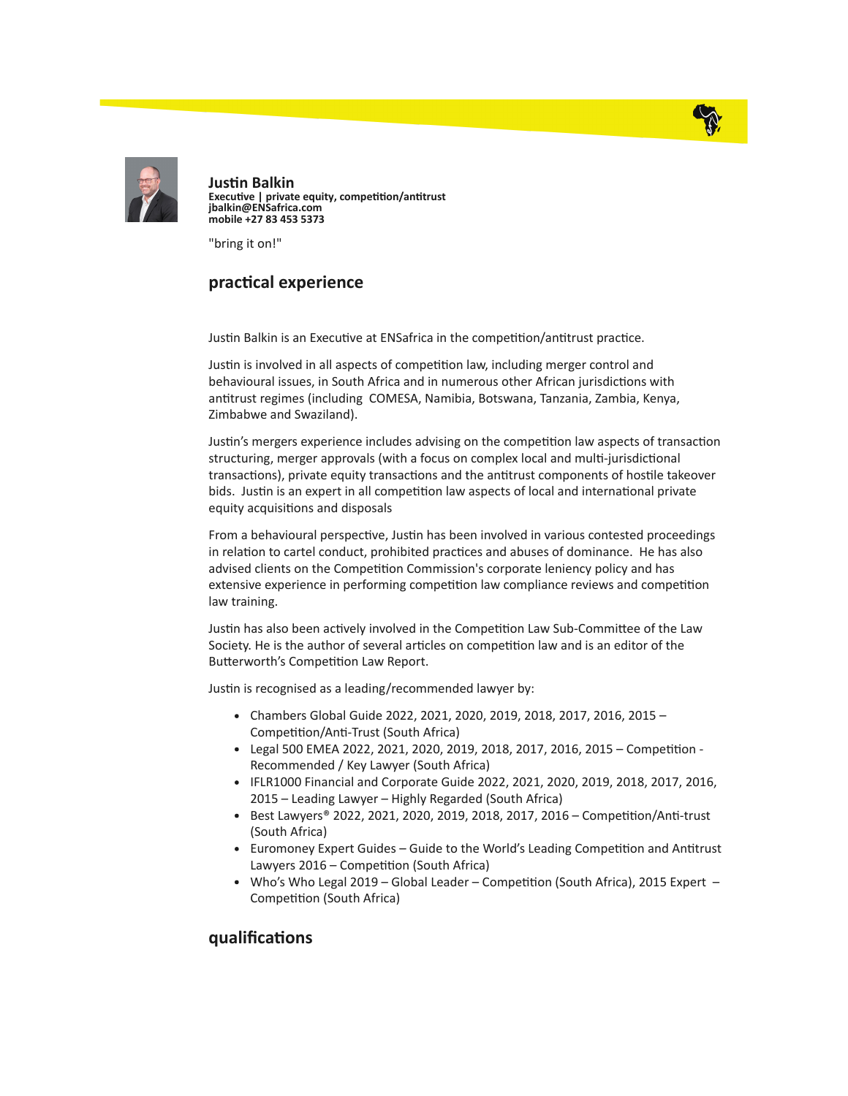



**Justin Balkin** Executive | private equity, competition/antitrust jbalkin@ENSafrica.com mobile +27 83 453 5373

"bring it on!"

## practical experience

Justin Balkin is an Executive at ENSafrica in the competition/antitrust practice.

Justin is involved in all aspects of competition law, including merger control and behavioural issues, in South Africa and in numerous other African jurisdictions with antitrust regimes (including COMESA, Namibia, Botswana, Tanzania, Zambia, Kenya, Zimbabwe and Swaziland).

Justin's mergers experience includes advising on the competition law aspects of transaction structuring, merger approvals (with a focus on complex local and multi-jurisdictional transactions), private equity transactions and the antitrust components of hostile takeover bids. Justin is an expert in all competition law aspects of local and international private equity acquisitions and disposals

From a behavioural perspective, Justin has been involved in various contested proceedings in relation to cartel conduct, prohibited practices and abuses of dominance. He has also advised clients on the Competition Commission's corporate leniency policy and has extensive experience in performing competition law compliance reviews and competition law training.

Justin has also been actively involved in the Competition Law Sub-Committee of the Law Society. He is the author of several articles on competition law and is an editor of the Butterworth's Competition Law Report.

Justin is recognised as a leading/recommended lawyer by:

- Chambers Global Guide 2022, 2021, 2020, 2019, 2018, 2017, 2016, 2015 Competition/Anti-Trust (South Africa)
- $\bullet$  Legal 500 EMEA 2022, 2021, 2020, 2019, 2018, 2017, 2016, 2015 Competition -Recommended / Key Lawyer (South Africa)
- IFLR1000 Financial and Corporate Guide 2022, 2021, 2020, 2019, 2018, 2017, 2016, 2015 – Leading Lawyer – Highly Regarded (South Africa)
- Best Lawyers® 2022, 2021, 2020, 2019, 2018, 2017, 2016 Competition/Anti-trust (South Africa)
- Euromoney Expert Guides Guide to the World's Leading Competition and Antitrust Lawyers  $2016$  – Competition (South Africa)
- Who's Who Legal 2019 Global Leader Competition (South Africa), 2015 Expert Competition (South Africa)

## qualifications